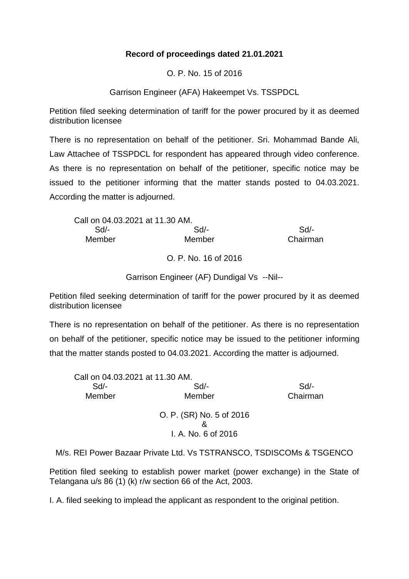## **Record of proceedings dated 21.01.2021**

O. P. No. 15 of 2016

Garrison Engineer (AFA) Hakeempet Vs. TSSPDCL

Petition filed seeking determination of tariff for the power procured by it as deemed distribution licensee

There is no representation on behalf of the petitioner. Sri. Mohammad Bande Ali, Law Attachee of TSSPDCL for respondent has appeared through video conference. As there is no representation on behalf of the petitioner, specific notice may be issued to the petitioner informing that the matter stands posted to 04.03.2021. According the matter is adjourned.

| Call on 04.03.2021 at 11.30 AM. |          |
|---------------------------------|----------|
| Sd/-                            | $Sd/$ -  |
| Member                          | Chairman |
|                                 |          |

O. P. No. 16 of 2016

Garrison Engineer (AF) Dundigal Vs --Nil--

Petition filed seeking determination of tariff for the power procured by it as deemed distribution licensee

There is no representation on behalf of the petitioner. As there is no representation on behalf of the petitioner, specific notice may be issued to the petitioner informing that the matter stands posted to 04.03.2021. According the matter is adjourned.

| Call on 04.03.2021 at 11.30 AM. |                                                 |          |
|---------------------------------|-------------------------------------------------|----------|
| Sd                              | $Sd$ -                                          | Sd       |
| Member                          | Member                                          | Chairman |
|                                 | O. P. (SR) No. 5 of 2016<br>I. A. No. 6 of 2016 |          |

M/s. REI Power Bazaar Private Ltd. Vs TSTRANSCO, TSDISCOMs & TSGENCO

Petition filed seeking to establish power market (power exchange) in the State of Telangana u/s 86 (1) (k) r/w section 66 of the Act, 2003.

I. A. filed seeking to implead the applicant as respondent to the original petition.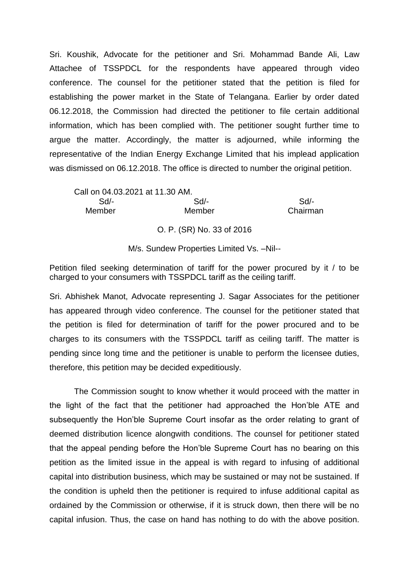Sri. Koushik, Advocate for the petitioner and Sri. Mohammad Bande Ali, Law Attachee of TSSPDCL for the respondents have appeared through video conference. The counsel for the petitioner stated that the petition is filed for establishing the power market in the State of Telangana. Earlier by order dated 06.12.2018, the Commission had directed the petitioner to file certain additional information, which has been complied with. The petitioner sought further time to argue the matter. Accordingly, the matter is adjourned, while informing the representative of the Indian Energy Exchange Limited that his implead application was dismissed on 06.12.2018. The office is directed to number the original petition.

Call on 04.03.2021 at 11.30 AM. Sd/- Sd/- Sd/- Member Member Chairman

O. P. (SR) No. 33 of 2016

M/s. Sundew Properties Limited Vs. –Nil--

Petition filed seeking determination of tariff for the power procured by it / to be charged to your consumers with TSSPDCL tariff as the ceiling tariff.

Sri. Abhishek Manot, Advocate representing J. Sagar Associates for the petitioner has appeared through video conference. The counsel for the petitioner stated that the petition is filed for determination of tariff for the power procured and to be charges to its consumers with the TSSPDCL tariff as ceiling tariff. The matter is pending since long time and the petitioner is unable to perform the licensee duties, therefore, this petition may be decided expeditiously.

The Commission sought to know whether it would proceed with the matter in the light of the fact that the petitioner had approached the Hon'ble ATE and subsequently the Hon'ble Supreme Court insofar as the order relating to grant of deemed distribution licence alongwith conditions. The counsel for petitioner stated that the appeal pending before the Hon'ble Supreme Court has no bearing on this petition as the limited issue in the appeal is with regard to infusing of additional capital into distribution business, which may be sustained or may not be sustained. If the condition is upheld then the petitioner is required to infuse additional capital as ordained by the Commission or otherwise, if it is struck down, then there will be no capital infusion. Thus, the case on hand has nothing to do with the above position.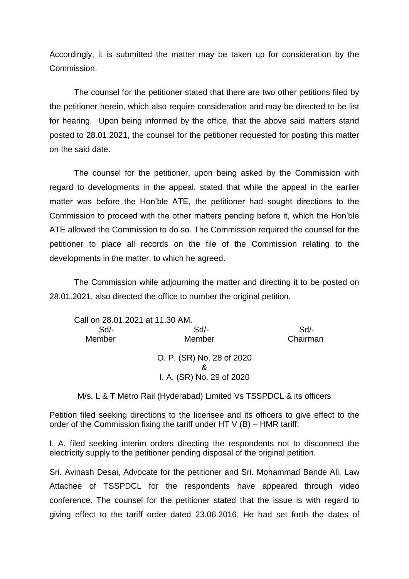Accordingly, it is submitted the matter may be taken up for consideration by the Commission.

The counsel for the petitioner stated that there are two other petitions filed by the petitioner herein, which also require consideration and may be directed to be list for hearing. Upon being informed by the office, that the above said matters stand posted to 28.01.2021, the counsel for the petitioner requested for posting this matter on the said date.

The counsel for the petitioner, upon being asked by the Commission with regard to developments in the appeal, stated that while the appeal in the earlier matter was before the Hon'ble ATE, the petitioner had sought directions to the Commission to proceed with the other matters pending before it, which the Hon'ble ATE allowed the Commission to do so. The Commission required the counsel for the petitioner to place all records on the file of the Commission relating to the developments in the matter, to which he agreed.

The Commission while adjourning the matter and directing it to be posted on 28.01.2021, also directed the office to number the original petition.

| Call on 28.01.2021 at 11.30 AM. |                           |          |
|---------------------------------|---------------------------|----------|
| Sd                              | Sd                        | Sd       |
| Member                          | Member                    | Chairman |
|                                 | O. P. (SR) No. 28 of 2020 |          |
|                                 | I. A. (SR) No. 29 of 2020 |          |

M/s. L & T Metro Rail (Hyderabad) Limited Vs TSSPDCL & its officers

Petition filed seeking directions to the licensee and its officers to give effect to the order of the Commission fixing the tariff under HT  $V$  (B) – HMR tariff.

I. A. filed seeking interim orders directing the respondents not to disconnect the electricity supply to the petitioner pending disposal of the original petition.

Sri. Avinash Desai, Advocate for the petitioner and Sri. Mohammad Bande Ali, Law Attachee of TSSPDCL for the respondents have appeared through video conference. The counsel for the petitioner stated that the issue is with regard to giving effect to the tariff order dated 23.06.2016. He had set forth the dates of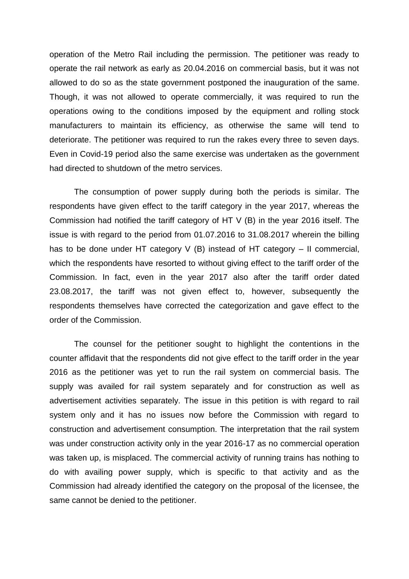operation of the Metro Rail including the permission. The petitioner was ready to operate the rail network as early as 20.04.2016 on commercial basis, but it was not allowed to do so as the state government postponed the inauguration of the same. Though, it was not allowed to operate commercially, it was required to run the operations owing to the conditions imposed by the equipment and rolling stock manufacturers to maintain its efficiency, as otherwise the same will tend to deteriorate. The petitioner was required to run the rakes every three to seven days. Even in Covid-19 period also the same exercise was undertaken as the government had directed to shutdown of the metro services.

The consumption of power supply during both the periods is similar. The respondents have given effect to the tariff category in the year 2017, whereas the Commission had notified the tariff category of HT V (B) in the year 2016 itself. The issue is with regard to the period from 01.07.2016 to 31.08.2017 wherein the billing has to be done under HT category V (B) instead of HT category – II commercial, which the respondents have resorted to without giving effect to the tariff order of the Commission. In fact, even in the year 2017 also after the tariff order dated 23.08.2017, the tariff was not given effect to, however, subsequently the respondents themselves have corrected the categorization and gave effect to the order of the Commission.

The counsel for the petitioner sought to highlight the contentions in the counter affidavit that the respondents did not give effect to the tariff order in the year 2016 as the petitioner was yet to run the rail system on commercial basis. The supply was availed for rail system separately and for construction as well as advertisement activities separately. The issue in this petition is with regard to rail system only and it has no issues now before the Commission with regard to construction and advertisement consumption. The interpretation that the rail system was under construction activity only in the year 2016-17 as no commercial operation was taken up, is misplaced. The commercial activity of running trains has nothing to do with availing power supply, which is specific to that activity and as the Commission had already identified the category on the proposal of the licensee, the same cannot be denied to the petitioner.